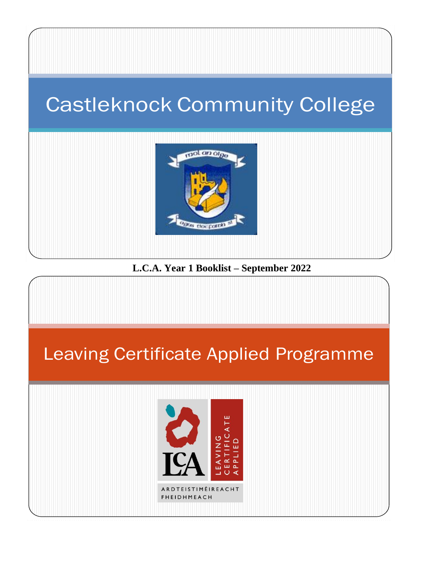## Castleknock Community College



#### **L.C.A. Year 1 Booklist – September 2022**

# Leaving Certificate Applied ProgrammeARDTEISTIMÉIREACHT **FHEIDHMEACH**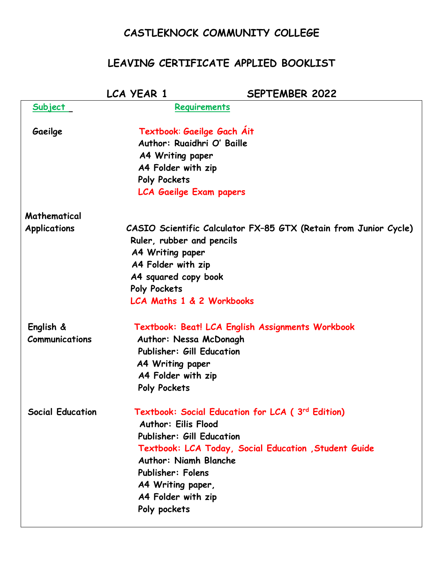### **CASTLEKNOCK COMMUNITY COLLEGE**

### **LEAVING CERTIFICATE APPLIED BOOKLIST**

|                             | LCA YEAR 1                                                                                                                                                                            | <b>SEPTEMBER 2022</b>                                                                                    |
|-----------------------------|---------------------------------------------------------------------------------------------------------------------------------------------------------------------------------------|----------------------------------------------------------------------------------------------------------|
| <u>Subject</u>              | Requirements                                                                                                                                                                          |                                                                                                          |
| Gaeilge                     | Textbook: Gaeilge Gach Ait<br>Author: Ruaidhri O' Baille<br>A4 Writing paper<br>A4 Folder with zip<br>Poly Pockets<br><b>LCA Gaeilge Exam papers</b>                                  |                                                                                                          |
| Mathematical                |                                                                                                                                                                                       |                                                                                                          |
| <b>Applications</b>         | Ruler, rubber and pencils<br>A4 Writing paper<br>A4 Folder with zip<br>A4 squared copy book<br>Poly Pockets<br>LCA Maths 1 & 2 Workbooks                                              | CASIO Scientific Calculator FX-85 GTX (Retain from Junior Cycle)                                         |
| English &<br>Communications | Author: Nessa McDonagh<br><b>Publisher: Gill Education</b><br>A4 Writing paper<br>A4 Folder with zip<br>Poly Pockets                                                                  | Textbook: Beat! LCA English Assignments Workbook                                                         |
| <b>Social Education</b>     | <b>Author: Eilis Flood</b><br><b>Publisher: Gill Education</b><br><b>Author: Niamh Blanche</b><br><b>Publisher: Folens</b><br>A4 Writing paper,<br>A4 Folder with zip<br>Poly pockets | Textbook: Social Education for LCA (3rd Edition)<br>Textbook: LCA Today, Social Education, Student Guide |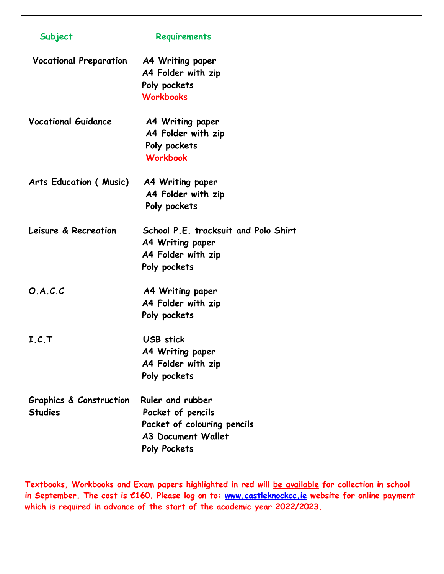| Subject                                                                                                                                                                                                 | Requirements                                                              |  |
|---------------------------------------------------------------------------------------------------------------------------------------------------------------------------------------------------------|---------------------------------------------------------------------------|--|
| <b>Vocational Preparation</b>                                                                                                                                                                           | A4 Writing paper                                                          |  |
|                                                                                                                                                                                                         | A4 Folder with zip                                                        |  |
|                                                                                                                                                                                                         | Poly pockets                                                              |  |
|                                                                                                                                                                                                         | <b>Workbooks</b>                                                          |  |
| <b>Vocational Guidance</b>                                                                                                                                                                              | A4 Writing paper                                                          |  |
|                                                                                                                                                                                                         | A4 Folder with zip                                                        |  |
|                                                                                                                                                                                                         | Poly pockets                                                              |  |
|                                                                                                                                                                                                         | <b>Workbook</b>                                                           |  |
| Arts Education (Music)                                                                                                                                                                                  | A4 Writing paper                                                          |  |
|                                                                                                                                                                                                         | A4 Folder with zip                                                        |  |
|                                                                                                                                                                                                         | Poly pockets                                                              |  |
| Leisure & Recreation                                                                                                                                                                                    | School P.E. tracksuit and Polo Shirt                                      |  |
|                                                                                                                                                                                                         | A4 Writing paper                                                          |  |
|                                                                                                                                                                                                         | A4 Folder with zip                                                        |  |
|                                                                                                                                                                                                         | Poly pockets                                                              |  |
| O.A.C.C                                                                                                                                                                                                 | A4 Writing paper                                                          |  |
|                                                                                                                                                                                                         | A4 Folder with zip                                                        |  |
|                                                                                                                                                                                                         | Poly pockets                                                              |  |
| I.C.T                                                                                                                                                                                                   | <b>USB</b> stick                                                          |  |
|                                                                                                                                                                                                         | <b>A4 Writing paper</b>                                                   |  |
|                                                                                                                                                                                                         | A4 Folder with zip                                                        |  |
|                                                                                                                                                                                                         | Poly pockets                                                              |  |
| <b>Graphics &amp; Construction</b>                                                                                                                                                                      | Ruler and rubber                                                          |  |
| <b>Studies</b>                                                                                                                                                                                          | Packet of pencils                                                         |  |
|                                                                                                                                                                                                         | Packet of colouring pencils                                               |  |
|                                                                                                                                                                                                         | <b>A3 Document Wallet</b>                                                 |  |
|                                                                                                                                                                                                         | Poly Pockets                                                              |  |
| Textbooks, Workbooks and Exam papers highlighted in red will be available for collection in school<br>in September. The cost is €160. Please log on to: www.castleknockcc.ie website for online payment |                                                                           |  |
|                                                                                                                                                                                                         | which is required in advance of the start of the academic year 2022/2023. |  |

 $\Gamma$